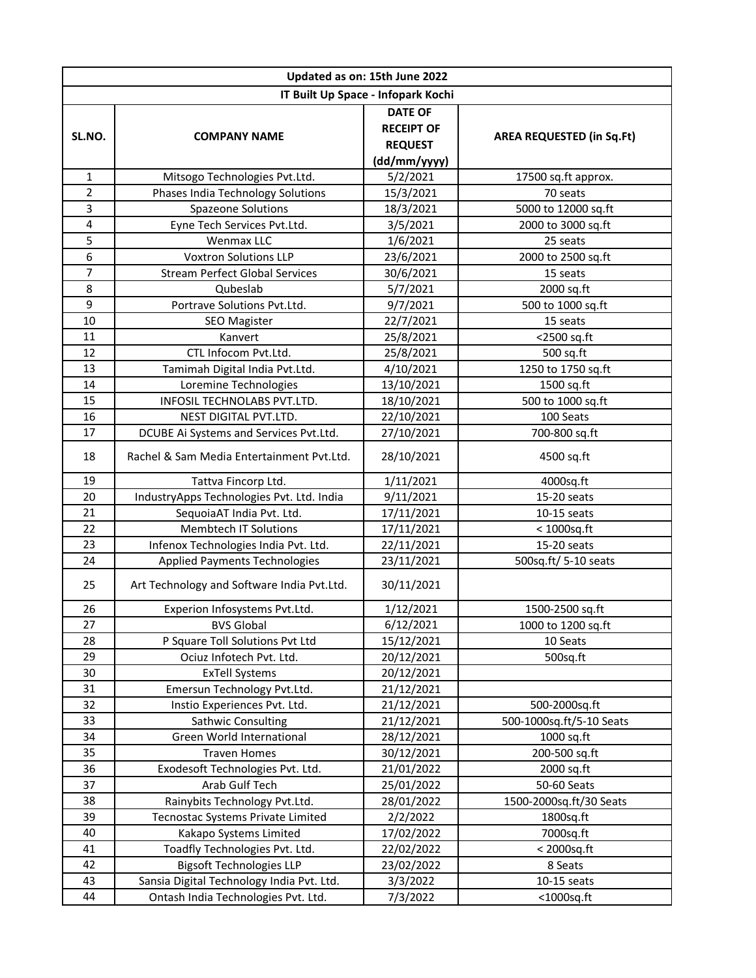| Updated as on: 15th June 2022      |                                            |                                                                       |                                  |  |  |
|------------------------------------|--------------------------------------------|-----------------------------------------------------------------------|----------------------------------|--|--|
| IT Built Up Space - Infopark Kochi |                                            |                                                                       |                                  |  |  |
| SL.NO.                             | <b>COMPANY NAME</b>                        | <b>DATE OF</b><br><b>RECEIPT OF</b><br><b>REQUEST</b><br>(dd/mm/yyyy) | <b>AREA REQUESTED (in Sq.Ft)</b> |  |  |
| $\mathbf{1}$                       | Mitsogo Technologies Pvt.Ltd.              | 5/2/2021                                                              | 17500 sq.ft approx.              |  |  |
| $\overline{2}$                     | Phases India Technology Solutions          | 15/3/2021                                                             | 70 seats                         |  |  |
| 3                                  | <b>Spazeone Solutions</b>                  | 18/3/2021                                                             | 5000 to 12000 sq.ft              |  |  |
| $\overline{\mathbf{4}}$            | Eyne Tech Services Pvt.Ltd.                | 3/5/2021                                                              | 2000 to 3000 sq.ft               |  |  |
| 5                                  | Wenmax LLC                                 | 1/6/2021                                                              | 25 seats                         |  |  |
| 6                                  | <b>Voxtron Solutions LLP</b>               | 23/6/2021                                                             | 2000 to 2500 sq.ft               |  |  |
| 7                                  | <b>Stream Perfect Global Services</b>      | 30/6/2021                                                             | 15 seats                         |  |  |
| 8                                  | Qubeslab                                   | 5/7/2021                                                              | 2000 sq.ft                       |  |  |
| 9                                  | Portrave Solutions Pvt.Ltd.                | 9/7/2021                                                              | 500 to 1000 sq.ft                |  |  |
| 10                                 | <b>SEO Magister</b>                        | 22/7/2021                                                             | 15 seats                         |  |  |
| 11                                 | Kanvert                                    | 25/8/2021                                                             | <2500 sq.ft                      |  |  |
| 12                                 | CTL Infocom Pvt.Ltd.                       | 25/8/2021                                                             | 500 sq.ft                        |  |  |
| 13                                 | Tamimah Digital India Pvt.Ltd.             | 4/10/2021                                                             | 1250 to 1750 sq.ft               |  |  |
| 14                                 | Loremine Technologies                      | 13/10/2021                                                            | 1500 sq.ft                       |  |  |
| 15                                 | INFOSIL TECHNOLABS PVT.LTD.                | 18/10/2021                                                            | 500 to 1000 sq.ft                |  |  |
| 16                                 | NEST DIGITAL PVT.LTD.                      | 22/10/2021                                                            | 100 Seats                        |  |  |
| 17                                 | DCUBE Ai Systems and Services Pvt.Ltd.     | 27/10/2021                                                            | 700-800 sq.ft                    |  |  |
| 18                                 | Rachel & Sam Media Entertainment Pyt.Ltd.  | 28/10/2021                                                            | 4500 sq.ft                       |  |  |
| 19                                 | Tattva Fincorp Ltd.                        | 1/11/2021                                                             | 4000sq.ft                        |  |  |
| 20                                 | IndustryApps Technologies Pvt. Ltd. India  | 9/11/2021                                                             | 15-20 seats                      |  |  |
| 21                                 | SequoiaAT India Pvt. Ltd.                  | 17/11/2021                                                            | 10-15 seats                      |  |  |
| 22                                 | <b>Membtech IT Solutions</b>               | 17/11/2021                                                            | $<$ 1000sq.ft                    |  |  |
| 23                                 | Infenox Technologies India Pvt. Ltd.       | 22/11/2021                                                            | 15-20 seats                      |  |  |
| 24                                 | Applied Payments Technologies              | 23/11/2021                                                            | 500sq.ft/ 5-10 seats             |  |  |
| 25                                 | Art Technology and Software India Pvt.Ltd. | 30/11/2021                                                            |                                  |  |  |
| 26                                 | Experion Infosystems Pvt.Ltd.              | 1/12/2021                                                             | 1500-2500 sq.ft                  |  |  |
| 27                                 | <b>BVS Global</b>                          | 6/12/2021                                                             | 1000 to 1200 sq.ft               |  |  |
| 28                                 | P Square Toll Solutions Pvt Ltd            | 15/12/2021                                                            | 10 Seats                         |  |  |
| 29                                 | Ociuz Infotech Pvt. Ltd.                   | 20/12/2021                                                            | 500sq.ft                         |  |  |
| 30                                 | <b>ExTell Systems</b>                      | 20/12/2021                                                            |                                  |  |  |
| 31                                 | Emersun Technology Pvt.Ltd.                | 21/12/2021                                                            |                                  |  |  |
| 32                                 | Instio Experiences Pvt. Ltd.               | 21/12/2021                                                            | 500-2000sq.ft                    |  |  |
| 33                                 | Sathwic Consulting                         | 21/12/2021                                                            | 500-1000sq.ft/5-10 Seats         |  |  |
| 34                                 | Green World International                  | 28/12/2021                                                            | 1000 sq.ft                       |  |  |
| 35                                 | <b>Traven Homes</b>                        | 30/12/2021                                                            | 200-500 sq.ft                    |  |  |
| 36                                 | Exodesoft Technologies Pvt. Ltd.           | 21/01/2022                                                            | 2000 sq.ft                       |  |  |
| 37                                 | Arab Gulf Tech                             | 25/01/2022                                                            | 50-60 Seats                      |  |  |
| 38                                 | Rainybits Technology Pvt.Ltd.              | 28/01/2022                                                            | 1500-2000sq.ft/30 Seats          |  |  |
| 39                                 | Tecnostac Systems Private Limited          | 2/2/2022                                                              | 1800sq.ft                        |  |  |
| 40                                 | Kakapo Systems Limited                     | 17/02/2022                                                            | 7000sq.ft                        |  |  |
| 41                                 | Toadfly Technologies Pvt. Ltd.             | 22/02/2022                                                            | < 2000sq.ft                      |  |  |
| 42                                 | <b>Bigsoft Technologies LLP</b>            | 23/02/2022                                                            | 8 Seats                          |  |  |
| 43                                 | Sansia Digital Technology India Pvt. Ltd.  | 3/3/2022                                                              | $10-15$ seats                    |  |  |
| 44                                 | Ontash India Technologies Pvt. Ltd.        | 7/3/2022                                                              | $<$ 1000sq.ft                    |  |  |